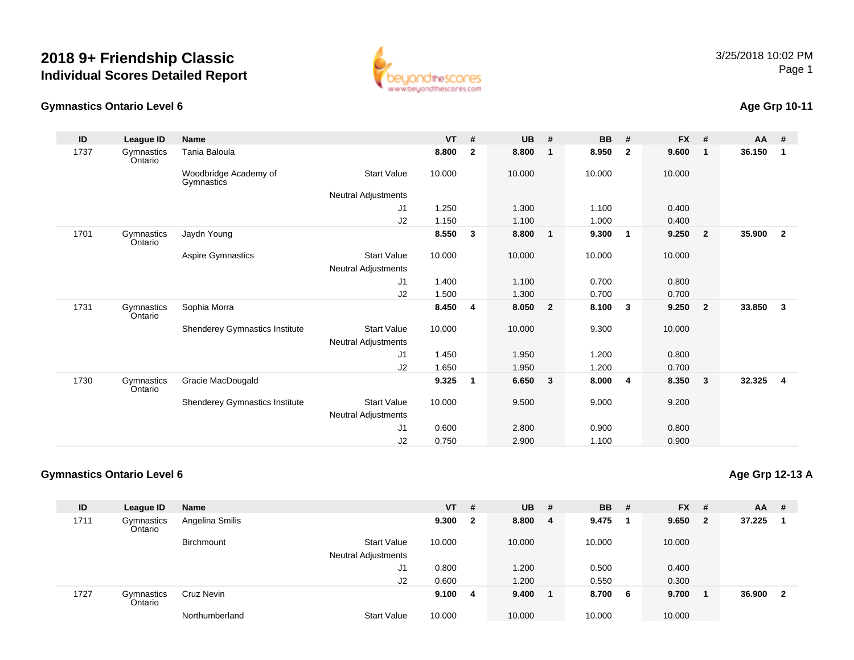

#### **Gymnastics Ontario Level 6**

## **Age Grp 10-11**

| ID   | League ID             | <b>Name</b>                           |                     | $VT$ # |              | <b>UB</b> | #                       | <b>BB</b> | #                       | <b>FX</b> | #              | $AA$ # |                |
|------|-----------------------|---------------------------------------|---------------------|--------|--------------|-----------|-------------------------|-----------|-------------------------|-----------|----------------|--------|----------------|
| 1737 | Gymnastics<br>Ontario | Tania Baloula                         |                     | 8.800  | $\mathbf{2}$ | 8.800     | $\mathbf 1$             | 8.950     | $\overline{2}$          | 9.600     | $\mathbf{1}$   | 36.150 | 1              |
|      |                       | Woodbridge Academy of<br>Gymnastics   | <b>Start Value</b>  | 10.000 |              | 10.000    |                         | 10.000    |                         | 10.000    |                |        |                |
|      |                       |                                       | Neutral Adjustments |        |              |           |                         |           |                         |           |                |        |                |
|      |                       |                                       | J1                  | 1.250  |              | 1.300     |                         | 1.100     |                         | 0.400     |                |        |                |
|      |                       |                                       | J2                  | 1.150  |              | 1.100     |                         | 1.000     |                         | 0.400     |                |        |                |
| 1701 | Gymnastics<br>Ontario | Jaydn Young                           |                     | 8.550  | $\mathbf{3}$ | 8.800     | $\overline{\mathbf{1}}$ | 9.300     | $\overline{\mathbf{1}}$ | 9.250     | $\overline{2}$ | 35.900 | $\mathbf{2}$   |
|      |                       | Aspire Gymnastics                     | <b>Start Value</b>  | 10.000 |              | 10.000    |                         | 10.000    |                         | 10.000    |                |        |                |
|      |                       |                                       | Neutral Adjustments |        |              |           |                         |           |                         |           |                |        |                |
|      |                       |                                       | J1                  | 1.400  |              | 1.100     |                         | 0.700     |                         | 0.800     |                |        |                |
|      |                       |                                       | J2                  | 1.500  |              | 1.300     |                         | 0.700     |                         | 0.700     |                |        |                |
| 1731 | Gymnastics<br>Ontario | Sophia Morra                          |                     | 8.450  | -4           | 8.050     | $\overline{\mathbf{2}}$ | 8.100     | $\overline{\mathbf{3}}$ | 9.250     | $\overline{2}$ | 33.850 | $\mathbf{3}$   |
|      |                       | Shenderey Gymnastics Institute        | <b>Start Value</b>  | 10.000 |              | 10.000    |                         | 9.300     |                         | 10.000    |                |        |                |
|      |                       |                                       | Neutral Adjustments |        |              |           |                         |           |                         |           |                |        |                |
|      |                       |                                       | J <sub>1</sub>      | 1.450  |              | 1.950     |                         | 1.200     |                         | 0.800     |                |        |                |
|      |                       |                                       | J2                  | 1.650  |              | 1.950     |                         | 1.200     |                         | 0.700     |                |        |                |
| 1730 | Gymnastics<br>Ontario | Gracie MacDougald                     |                     | 9.325  | $\mathbf 1$  | 6.650     | $\overline{\mathbf{3}}$ | 8.000     | $\overline{4}$          | 8.350     | $\mathbf{3}$   | 32.325 | $\overline{4}$ |
|      |                       | <b>Shenderey Gymnastics Institute</b> | <b>Start Value</b>  | 10.000 |              | 9.500     |                         | 9.000     |                         | 9.200     |                |        |                |
|      |                       |                                       | Neutral Adjustments |        |              |           |                         |           |                         |           |                |        |                |
|      |                       |                                       | J1                  | 0.600  |              | 2.800     |                         | 0.900     |                         | 0.800     |                |        |                |
|      |                       |                                       | J2                  | 0.750  |              | 2.900     |                         | 1.100     |                         | 0.900     |                |        |                |

#### **Gymnastics Ontario Level 6**

| ID   | League ID             | Name            |                            | <b>VT</b> | - #                     | <b>UB</b> | - # | <b>BB</b> | #   | $FX$ # |                | $AA$ #   |  |
|------|-----------------------|-----------------|----------------------------|-----------|-------------------------|-----------|-----|-----------|-----|--------|----------------|----------|--|
| 1711 | Gymnastics<br>Ontario | Angelina Smilis |                            | 9.300     | $\overline{\mathbf{2}}$ | 8.800     | - 4 | 9.475     |     | 9.650  | $\overline{2}$ | 37.225   |  |
|      |                       | Birchmount      | <b>Start Value</b>         | 10.000    |                         | 10.000    |     | 10.000    |     | 10.000 |                |          |  |
|      |                       |                 | <b>Neutral Adjustments</b> |           |                         |           |     |           |     |        |                |          |  |
|      |                       |                 | J1                         | 0.800     |                         | 1.200     |     | 0.500     |     | 0.400  |                |          |  |
|      |                       |                 | J2                         | 0.600     |                         | 1.200     |     | 0.550     |     | 0.300  |                |          |  |
| 1727 | Gymnastics<br>Ontario | Cruz Nevin      |                            | 9.100     | -4                      | 9.400     |     | 8.700     | - 6 | 9.700  |                | 36.900 2 |  |
|      |                       | Northumberland  | <b>Start Value</b>         | 10.000    |                         | 10.000    |     | 10.000    |     | 10.000 |                |          |  |

#### **Age Grp 12-13 A**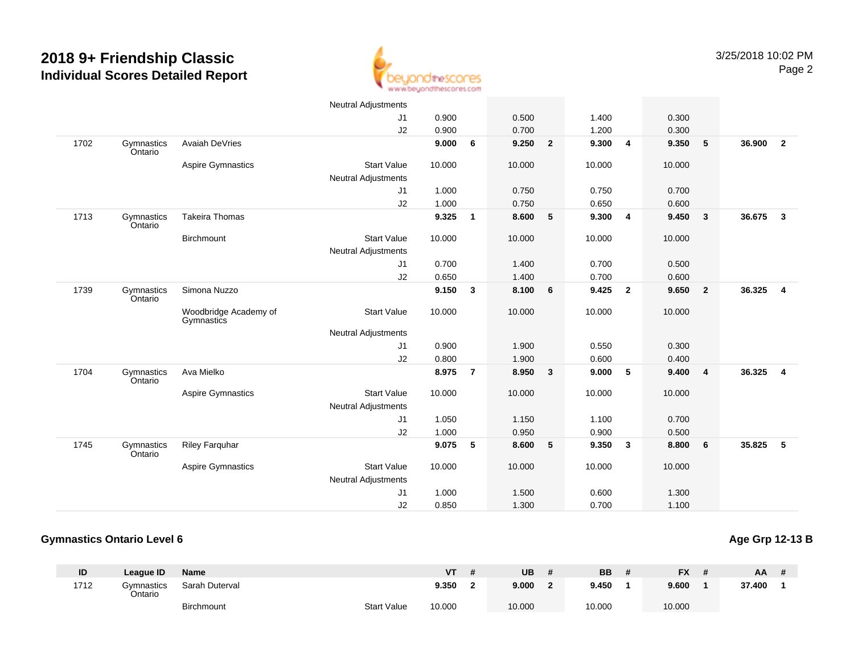

|      |                       |                                     | <b>Neutral Adjustments</b> |        |                |        |                |        |                         |        |                         |        |                         |
|------|-----------------------|-------------------------------------|----------------------------|--------|----------------|--------|----------------|--------|-------------------------|--------|-------------------------|--------|-------------------------|
|      |                       |                                     | J1                         | 0.900  |                | 0.500  |                | 1.400  |                         | 0.300  |                         |        |                         |
|      |                       |                                     | J2                         | 0.900  |                | 0.700  |                | 1.200  |                         | 0.300  |                         |        |                         |
| 1702 | Gymnastics<br>Ontario | Avaiah DeVries                      |                            | 9.000  | 6              | 9.250  | $\overline{2}$ | 9.300  | 4                       | 9.350  | 5                       | 36.900 | $\overline{2}$          |
|      |                       | <b>Aspire Gymnastics</b>            | <b>Start Value</b>         | 10.000 |                | 10.000 |                | 10.000 |                         | 10.000 |                         |        |                         |
|      |                       |                                     | <b>Neutral Adjustments</b> |        |                |        |                |        |                         |        |                         |        |                         |
|      |                       |                                     | J1                         | 1.000  |                | 0.750  |                | 0.750  |                         | 0.700  |                         |        |                         |
|      |                       |                                     | J2                         | 1.000  |                | 0.750  |                | 0.650  |                         | 0.600  |                         |        |                         |
| 1713 | Gymnastics<br>Ontario | <b>Takeira Thomas</b>               |                            | 9.325  | $\mathbf{1}$   | 8.600  | 5              | 9.300  | $\overline{4}$          | 9.450  | $\overline{\mathbf{3}}$ | 36.675 | $\overline{\mathbf{3}}$ |
|      |                       | Birchmount                          | <b>Start Value</b>         | 10.000 |                | 10.000 |                | 10.000 |                         | 10.000 |                         |        |                         |
|      |                       |                                     | <b>Neutral Adjustments</b> |        |                |        |                |        |                         |        |                         |        |                         |
|      |                       |                                     | J1                         | 0.700  |                | 1.400  |                | 0.700  |                         | 0.500  |                         |        |                         |
|      |                       |                                     | J2                         | 0.650  |                | 1.400  |                | 0.700  |                         | 0.600  |                         |        |                         |
| 1739 | Gymnastics<br>Ontario | Simona Nuzzo                        |                            | 9.150  | 3              | 8.100  | 6              | 9.425  | $\overline{\mathbf{2}}$ | 9.650  | $\overline{2}$          | 36.325 | $\overline{4}$          |
|      |                       | Woodbridge Academy of<br>Gymnastics | <b>Start Value</b>         | 10.000 |                | 10.000 |                | 10.000 |                         | 10.000 |                         |        |                         |
|      |                       |                                     | <b>Neutral Adjustments</b> |        |                |        |                |        |                         |        |                         |        |                         |
|      |                       |                                     | J1                         | 0.900  |                | 1.900  |                | 0.550  |                         | 0.300  |                         |        |                         |
|      |                       |                                     | J2                         | 0.800  |                | 1.900  |                | 0.600  |                         | 0.400  |                         |        |                         |
| 1704 | Gymnastics<br>Ontario | Ava Mielko                          |                            | 8.975  | $\overline{7}$ | 8.950  | $\mathbf{3}$   | 9.000  | $-5$                    | 9.400  | $\overline{4}$          | 36.325 | $\overline{4}$          |
|      |                       | <b>Aspire Gymnastics</b>            | <b>Start Value</b>         | 10.000 |                | 10.000 |                | 10.000 |                         | 10.000 |                         |        |                         |
|      |                       |                                     | Neutral Adjustments        |        |                |        |                |        |                         |        |                         |        |                         |
|      |                       |                                     | J1                         | 1.050  |                | 1.150  |                | 1.100  |                         | 0.700  |                         |        |                         |
|      |                       |                                     | J2                         | 1.000  |                | 0.950  |                | 0.900  |                         | 0.500  |                         |        |                         |
| 1745 | Gymnastics<br>Ontario | <b>Riley Farquhar</b>               |                            | 9.075  | 5              | 8.600  | 5              | 9.350  | $\mathbf{3}$            | 8.800  | 6                       | 35.825 | 5                       |
|      |                       | <b>Aspire Gymnastics</b>            | <b>Start Value</b>         | 10.000 |                | 10.000 |                | 10.000 |                         | 10.000 |                         |        |                         |
|      |                       |                                     | Neutral Adjustments        |        |                |        |                |        |                         |        |                         |        |                         |
|      |                       |                                     | J1                         | 1.000  |                | 1.500  |                | 0.600  |                         | 1.300  |                         |        |                         |
|      |                       |                                     | J2                         | 0.850  |                | 1.300  |                | 0.700  |                         | 1.100  |                         |        |                         |

#### **Gymnastics Ontario Level 6**

**Age Grp 12-13 B**

| ID   | League ID                    | <b>Name</b>       |                    | <b>VT</b> | UB     | <b>BB</b> | <b>FX</b> | AA     |  |
|------|------------------------------|-------------------|--------------------|-----------|--------|-----------|-----------|--------|--|
| 1712 | <b>3vmnastics</b><br>Ontario | Sarah Duterval    |                    | 9.350     | 9.000  | 9.450     | 9.600     | 37.400 |  |
|      |                              | <b>Birchmount</b> | <b>Start Value</b> | 10.000    | 10.000 | 10.000    | 10.000    |        |  |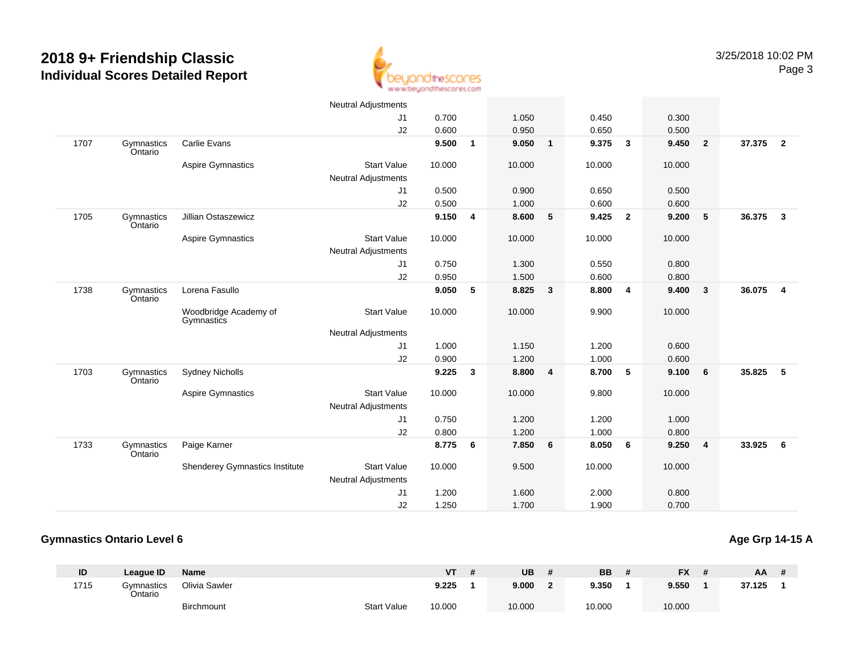

|      |                       |                                     | <b>Neutral Adjustments</b> |        |              |        |              |        |                         |        |                |        |                         |
|------|-----------------------|-------------------------------------|----------------------------|--------|--------------|--------|--------------|--------|-------------------------|--------|----------------|--------|-------------------------|
|      |                       |                                     | J1                         | 0.700  |              | 1.050  |              | 0.450  |                         | 0.300  |                |        |                         |
|      |                       |                                     | J <sub>2</sub>             | 0.600  |              | 0.950  |              | 0.650  |                         | 0.500  |                |        |                         |
| 1707 | Gymnastics<br>Ontario | <b>Carlie Evans</b>                 |                            | 9.500  | $\mathbf{1}$ | 9.050  | $\mathbf{1}$ | 9.375  | $\mathbf{3}$            | 9.450  | $\overline{2}$ | 37.375 | $\overline{2}$          |
|      |                       | Aspire Gymnastics                   | <b>Start Value</b>         | 10.000 |              | 10.000 |              | 10.000 |                         | 10.000 |                |        |                         |
|      |                       |                                     | <b>Neutral Adjustments</b> |        |              |        |              |        |                         |        |                |        |                         |
|      |                       |                                     | J1                         | 0.500  |              | 0.900  |              | 0.650  |                         | 0.500  |                |        |                         |
|      |                       |                                     | J2                         | 0.500  |              | 1.000  |              | 0.600  |                         | 0.600  |                |        |                         |
| 1705 | Gymnastics<br>Ontario | Jillian Ostaszewicz                 |                            | 9.150  | 4            | 8.600  | 5            | 9.425  | $\overline{\mathbf{2}}$ | 9.200  | 5              | 36.375 | $\overline{\mathbf{3}}$ |
|      |                       | <b>Aspire Gymnastics</b>            | <b>Start Value</b>         | 10.000 |              | 10.000 |              | 10.000 |                         | 10.000 |                |        |                         |
|      |                       |                                     | Neutral Adjustments        |        |              |        |              |        |                         |        |                |        |                         |
|      |                       |                                     | J1                         | 0.750  |              | 1.300  |              | 0.550  |                         | 0.800  |                |        |                         |
|      |                       |                                     | J2                         | 0.950  |              | 1.500  |              | 0.600  |                         | 0.800  |                |        |                         |
| 1738 | Gymnastics<br>Ontario | Lorena Fasullo                      |                            | 9.050  | 5            | 8.825  | $\mathbf{3}$ | 8.800  | $\overline{4}$          | 9.400  | $\overline{3}$ | 36.075 | $\overline{4}$          |
|      |                       | Woodbridge Academy of<br>Gymnastics | <b>Start Value</b>         | 10.000 |              | 10.000 |              | 9.900  |                         | 10.000 |                |        |                         |
|      |                       |                                     | <b>Neutral Adjustments</b> |        |              |        |              |        |                         |        |                |        |                         |
|      |                       |                                     | J <sub>1</sub>             | 1.000  |              | 1.150  |              | 1.200  |                         | 0.600  |                |        |                         |
|      |                       |                                     | J2                         | 0.900  |              | 1.200  |              | 1.000  |                         | 0.600  |                |        |                         |
| 1703 | Gymnastics<br>Ontario | <b>Sydney Nicholls</b>              |                            | 9.225  | 3            | 8.800  | 4            | 8.700  | $-5$                    | 9.100  | 6              | 35.825 | 5                       |
|      |                       | <b>Aspire Gymnastics</b>            | <b>Start Value</b>         | 10.000 |              | 10.000 |              | 9.800  |                         | 10.000 |                |        |                         |
|      |                       |                                     | Neutral Adjustments        |        |              |        |              |        |                         |        |                |        |                         |
|      |                       |                                     | J1                         | 0.750  |              | 1.200  |              | 1.200  |                         | 1.000  |                |        |                         |
|      |                       |                                     | J2                         | 0.800  |              | 1.200  |              | 1.000  |                         | 0.800  |                |        |                         |
| 1733 | Gymnastics<br>Ontario | Paige Karner                        |                            | 8.775  | 6            | 7.850  | 6            | 8.050  | 6                       | 9.250  | $\overline{4}$ | 33.925 | 6                       |
|      |                       | Shenderey Gymnastics Institute      | <b>Start Value</b>         | 10.000 |              | 9.500  |              | 10.000 |                         | 10.000 |                |        |                         |
|      |                       |                                     | Neutral Adjustments        |        |              |        |              |        |                         |        |                |        |                         |
|      |                       |                                     | J <sub>1</sub>             | 1.200  |              | 1.600  |              | 2.000  |                         | 0.800  |                |        |                         |
|      |                       |                                     | J2                         | 1.250  |              | 1.700  |              | 1.900  |                         | 0.700  |                |        |                         |

#### **Gymnastics Ontario Level 6**

#### **Age Grp 14-15 A**

| ID   | League ID             | Name              |                    | ۷T     | UB     | <b>BB</b> | <b>FX</b> | AA.    |  |
|------|-----------------------|-------------------|--------------------|--------|--------|-----------|-----------|--------|--|
| 1715 | Gvmnastics<br>Ontario | Olivia Sawler     |                    | 9.225  | 9.000  | 9.350     | 9.550     | 37.125 |  |
|      |                       | <b>Birchmount</b> | <b>Start Value</b> | 10.000 | 10.000 | 10.000    | 10.000    |        |  |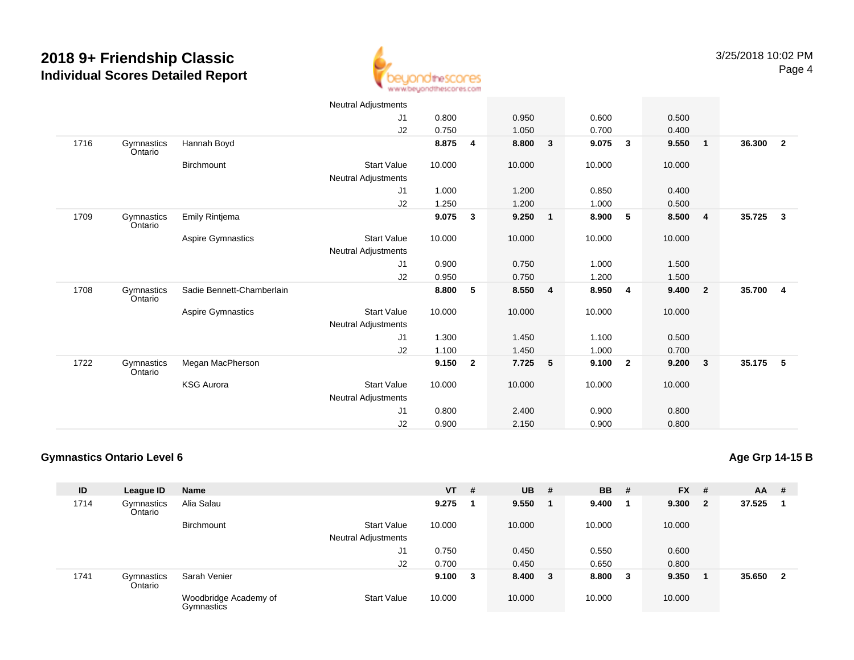

|      |                       |                           | Neutral Adjustments        |        |                |        |                         |        |                         |        |                         |        |                |
|------|-----------------------|---------------------------|----------------------------|--------|----------------|--------|-------------------------|--------|-------------------------|--------|-------------------------|--------|----------------|
|      |                       |                           | J1                         | 0.800  |                | 0.950  |                         | 0.600  |                         | 0.500  |                         |        |                |
|      |                       |                           | J2                         | 0.750  |                | 1.050  |                         | 0.700  |                         | 0.400  |                         |        |                |
| 1716 | Gymnastics<br>Ontario | Hannah Boyd               |                            | 8.875  | 4              | 8.800  | 3                       | 9.075  | $\overline{\mathbf{3}}$ | 9.550  | $\overline{\mathbf{1}}$ | 36.300 | $\overline{2}$ |
|      |                       | Birchmount                | <b>Start Value</b>         | 10.000 |                | 10.000 |                         | 10.000 |                         | 10.000 |                         |        |                |
|      |                       |                           | Neutral Adjustments        |        |                |        |                         |        |                         |        |                         |        |                |
|      |                       |                           | J1                         | 1.000  |                | 1.200  |                         | 0.850  |                         | 0.400  |                         |        |                |
|      |                       |                           | J2                         | 1.250  |                | 1.200  |                         | 1.000  |                         | 0.500  |                         |        |                |
| 1709 | Gymnastics<br>Ontario | Emily Rintjema            |                            | 9.075  | 3              | 9.250  | $\mathbf{1}$            | 8.900  | $5\phantom{.0}$         | 8.500  | $\overline{\mathbf{4}}$ | 35.725 | 3              |
|      |                       | Aspire Gymnastics         | <b>Start Value</b>         | 10.000 |                | 10.000 |                         | 10.000 |                         | 10.000 |                         |        |                |
|      |                       |                           | <b>Neutral Adjustments</b> |        |                |        |                         |        |                         |        |                         |        |                |
|      |                       |                           | J1                         | 0.900  |                | 0.750  |                         | 1.000  |                         | 1.500  |                         |        |                |
|      |                       |                           | J2                         | 0.950  |                | 0.750  |                         | 1.200  |                         | 1.500  |                         |        |                |
| 1708 | Gymnastics<br>Ontario | Sadie Bennett-Chamberlain |                            | 8.800  | 5              | 8.550  | $\overline{\mathbf{4}}$ | 8.950  | $\overline{4}$          | 9.400  | $\overline{\mathbf{2}}$ | 35.700 | 4              |
|      |                       | Aspire Gymnastics         | <b>Start Value</b>         | 10.000 |                | 10.000 |                         | 10.000 |                         | 10.000 |                         |        |                |
|      |                       |                           | <b>Neutral Adjustments</b> |        |                |        |                         |        |                         |        |                         |        |                |
|      |                       |                           | J1                         | 1.300  |                | 1.450  |                         | 1.100  |                         | 0.500  |                         |        |                |
|      |                       |                           | J2                         | 1.100  |                | 1.450  |                         | 1.000  |                         | 0.700  |                         |        |                |
| 1722 | Gymnastics<br>Ontario | Megan MacPherson          |                            | 9.150  | $\overline{2}$ | 7.725  | 5                       | 9.100  | $\overline{2}$          | 9.200  | $\overline{\mathbf{3}}$ | 35.175 | 5              |
|      |                       | <b>KSG Aurora</b>         | <b>Start Value</b>         | 10.000 |                | 10.000 |                         | 10.000 |                         | 10.000 |                         |        |                |
|      |                       |                           | <b>Neutral Adjustments</b> |        |                |        |                         |        |                         |        |                         |        |                |
|      |                       |                           | J <sub>1</sub>             | 0.800  |                | 2.400  |                         | 0.900  |                         | 0.800  |                         |        |                |
|      |                       |                           | J <sub>2</sub>             | 0.900  |                | 2.150  |                         | 0.900  |                         | 0.800  |                         |        |                |

#### **Gymnastics Ontario Level 6**

**Age Grp 14-15 B**

| ID   | League ID             | <b>Name</b>                         |                            | VT     | # | <b>UB</b> | - # | <b>BB</b> | - #    | <b>FX</b> | #   | <b>AA</b> | #            |
|------|-----------------------|-------------------------------------|----------------------------|--------|---|-----------|-----|-----------|--------|-----------|-----|-----------|--------------|
| 1714 | Gymnastics<br>Ontario | Alia Salau                          |                            | 9.275  |   | 9.550     |     | 9.400     |        | 9.300     | - 2 | 37.525    |              |
|      |                       | <b>Birchmount</b>                   | <b>Start Value</b>         | 10.000 |   | 10.000    |     | 10.000    |        | 10.000    |     |           |              |
|      |                       |                                     | <b>Neutral Adjustments</b> |        |   |           |     |           |        |           |     |           |              |
|      |                       |                                     | J1                         | 0.750  |   | 0.450     |     | 0.550     |        | 0.600     |     |           |              |
|      |                       |                                     | J2                         | 0.700  |   | 0.450     |     | 0.650     |        | 0.800     |     |           |              |
| 1741 | Gymnastics<br>Ontario | Sarah Venier                        |                            | 9.100  | 3 | 8.400 3   |     | 8.800     | $_{3}$ | 9.350     |     | 35.650    | $\mathbf{2}$ |
|      |                       | Woodbridge Academy of<br>Gymnastics | <b>Start Value</b>         | 10.000 |   | 10.000    |     | 10.000    |        | 10.000    |     |           |              |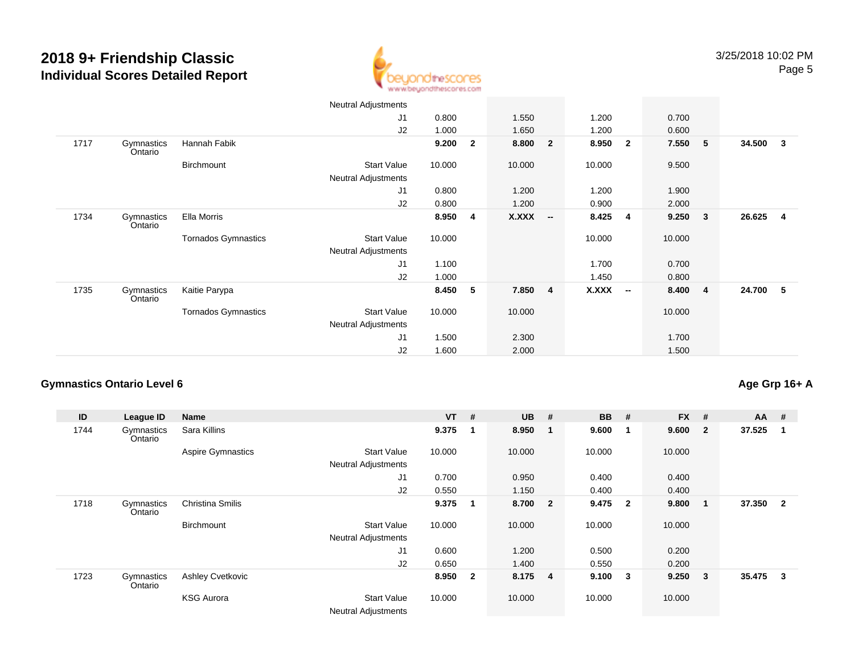

|      |                       |                            | Neutral Adjustments        |        |              |              |                          |              |                |        |                         |        |                |
|------|-----------------------|----------------------------|----------------------------|--------|--------------|--------------|--------------------------|--------------|----------------|--------|-------------------------|--------|----------------|
|      |                       |                            | J <sub>1</sub>             | 0.800  |              | 1.550        |                          | 1.200        |                | 0.700  |                         |        |                |
|      |                       |                            | J2                         | 1.000  |              | 1.650        |                          | 1.200        |                | 0.600  |                         |        |                |
| 1717 | Gymnastics<br>Ontario | Hannah Fabik               |                            | 9.200  | $\mathbf{2}$ | 8.800        | $\overline{\mathbf{2}}$  | 8.950        | $\overline{2}$ | 7.550  | - 5                     | 34.500 | $\mathbf{3}$   |
|      |                       | Birchmount                 | <b>Start Value</b>         | 10.000 |              | 10.000       |                          | 10.000       |                | 9.500  |                         |        |                |
|      |                       |                            | <b>Neutral Adjustments</b> |        |              |              |                          |              |                |        |                         |        |                |
|      |                       |                            | J <sub>1</sub>             | 0.800  |              | 1.200        |                          | 1.200        |                | 1.900  |                         |        |                |
|      |                       |                            | J2                         | 0.800  |              | 1.200        |                          | 0.900        |                | 2.000  |                         |        |                |
| 1734 | Gymnastics<br>Ontario | Ella Morris                |                            | 8.950  | 4            | <b>X.XXX</b> | $\overline{\phantom{a}}$ | 8.425        | $\overline{4}$ | 9.250  | $\mathbf{3}$            | 26.625 | $\overline{4}$ |
|      |                       | <b>Tornados Gymnastics</b> | <b>Start Value</b>         | 10.000 |              |              |                          | 10.000       |                | 10.000 |                         |        |                |
|      |                       |                            | <b>Neutral Adjustments</b> |        |              |              |                          |              |                |        |                         |        |                |
|      |                       |                            | J1                         | 1.100  |              |              |                          | 1.700        |                | 0.700  |                         |        |                |
|      |                       |                            | J2                         | 1.000  |              |              |                          | 1.450        |                | 0.800  |                         |        |                |
| 1735 | Gymnastics<br>Ontario | Kaitie Parypa              |                            | 8.450  | 5            | 7.850        | $\overline{4}$           | <b>X.XXX</b> | $\sim$         | 8.400  | $\overline{\mathbf{4}}$ | 24.700 | 5              |
|      |                       | <b>Tornados Gymnastics</b> | Start Value                | 10.000 |              | 10.000       |                          |              |                | 10.000 |                         |        |                |
|      |                       |                            | Neutral Adjustments        |        |              |              |                          |              |                |        |                         |        |                |
|      |                       |                            | J <sub>1</sub>             | 1.500  |              | 2.300        |                          |              |                | 1.700  |                         |        |                |
|      |                       |                            | J2                         | 1.600  |              | 2.000        |                          |              |                | 1.500  |                         |        |                |

#### **Gymnastics Ontario Level 6**

### **Age Grp 16+ A**

| ID   | League ID             | <b>Name</b>              |                                                  | $VT$ # |                         | <b>UB</b> | #              | <b>BB</b> | #              | $FX$ # |              | $AA$ # |                         |
|------|-----------------------|--------------------------|--------------------------------------------------|--------|-------------------------|-----------|----------------|-----------|----------------|--------|--------------|--------|-------------------------|
| 1744 | Gymnastics<br>Ontario | Sara Killins             |                                                  | 9.375  | $\mathbf 1$             | 8.950     | - 1            | 9.600     | $\mathbf 1$    | 9.600  | $\mathbf{2}$ | 37.525 | -1                      |
|      |                       | <b>Aspire Gymnastics</b> | <b>Start Value</b>                               | 10.000 |                         | 10.000    |                | 10.000    |                | 10.000 |              |        |                         |
|      |                       |                          | <b>Neutral Adjustments</b>                       |        |                         |           |                |           |                |        |              |        |                         |
|      |                       |                          | J1                                               | 0.700  |                         | 0.950     |                | 0.400     |                | 0.400  |              |        |                         |
|      |                       |                          | J2                                               | 0.550  |                         | 1.150     |                | 0.400     |                | 0.400  |              |        |                         |
| 1718 | Gymnastics<br>Ontario | <b>Christina Smilis</b>  |                                                  | 9.375  | 1                       | 8.700 2   |                | 9.475     | $\overline{2}$ | 9.800  | $\mathbf 1$  | 37.350 | $\overline{\mathbf{2}}$ |
|      |                       | <b>Birchmount</b>        | <b>Start Value</b>                               | 10.000 |                         | 10.000    |                | 10.000    |                | 10.000 |              |        |                         |
|      |                       |                          | <b>Neutral Adjustments</b>                       |        |                         |           |                |           |                |        |              |        |                         |
|      |                       |                          | J1                                               | 0.600  |                         | 1.200     |                | 0.500     |                | 0.200  |              |        |                         |
|      |                       |                          | J2                                               | 0.650  |                         | 1.400     |                | 0.550     |                | 0.200  |              |        |                         |
| 1723 | Gymnastics<br>Ontario | Ashley Cvetkovic         |                                                  | 8.950  | $\overline{\mathbf{2}}$ | 8.175     | $\overline{4}$ | 9.100     | 3              | 9.250  | 3            | 35.475 | 3                       |
|      |                       | <b>KSG Aurora</b>        | <b>Start Value</b><br><b>Neutral Adjustments</b> | 10.000 |                         | 10.000    |                | 10.000    |                | 10.000 |              |        |                         |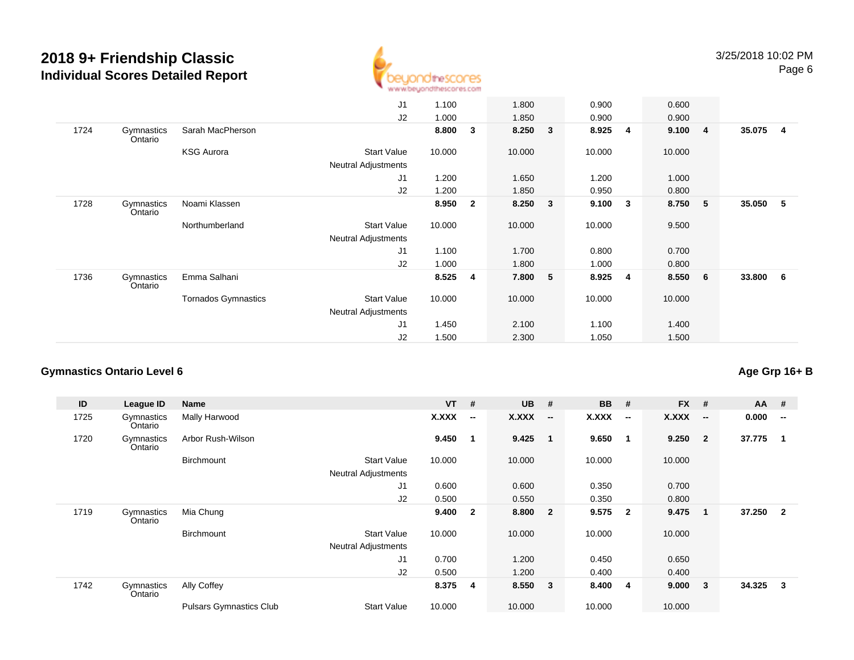

|                       |                            | J <sub>1</sub>             | 1.100  |                | 1.800  |              | 0.900  |                | 0.600  |     |         |     |
|-----------------------|----------------------------|----------------------------|--------|----------------|--------|--------------|--------|----------------|--------|-----|---------|-----|
|                       |                            | J2                         | 1.000  |                | 1.850  |              | 0.900  |                | 0.900  |     |         |     |
| Gymnastics<br>Ontario | Sarah MacPherson           |                            | 8.800  | 3              | 8.250  | $\mathbf{3}$ | 8.925  | $\overline{4}$ |        |     | 35.075  | - 4 |
|                       | <b>KSG Aurora</b>          | <b>Start Value</b>         | 10.000 |                | 10.000 |              | 10.000 |                | 10.000 |     |         |     |
|                       |                            | <b>Neutral Adjustments</b> |        |                |        |              |        |                |        |     |         |     |
|                       |                            | J <sub>1</sub>             | 1.200  |                | 1.650  |              | 1.200  |                | 1.000  |     |         |     |
|                       |                            | J2                         | 1.200  |                | 1.850  |              | 0.950  |                | 0.800  |     |         |     |
| Gymnastics<br>Ontario | Noami Klassen              |                            | 8.950  | $\overline{2}$ | 8.250  | $\mathbf{3}$ | 9.100  | 3              | 8.750  | 5   | 35.050  | - 5 |
|                       | Northumberland             | <b>Start Value</b>         | 10.000 |                | 10.000 |              | 10.000 |                | 9.500  |     |         |     |
|                       |                            | <b>Neutral Adjustments</b> |        |                |        |              |        |                |        |     |         |     |
|                       |                            | J <sub>1</sub>             | 1.100  |                | 1.700  |              | 0.800  |                | 0.700  |     |         |     |
|                       |                            | J <sub>2</sub>             | 1.000  |                | 1.800  |              | 1.000  |                | 0.800  |     |         |     |
| Gymnastics<br>Ontario | Emma Salhani               |                            | 8.525  | $\overline{4}$ | 7.800  | 5            | 8.925  | 4              | 8.550  | - 6 | 33.800  | - 6 |
|                       | <b>Tornados Gymnastics</b> | <b>Start Value</b>         | 10.000 |                | 10.000 |              | 10.000 |                | 10.000 |     |         |     |
|                       |                            | <b>Neutral Adjustments</b> |        |                |        |              |        |                |        |     |         |     |
|                       |                            | J <sub>1</sub>             | 1.450  |                | 2.100  |              | 1.100  |                | 1.400  |     |         |     |
|                       |                            | J <sub>2</sub>             | 1.500  |                | 2.300  |              | 1.050  |                | 1.500  |     |         |     |
|                       |                            |                            |        |                |        |              |        |                |        |     | 9.100 4 |     |

#### **Gymnastics Ontario Level 6Age Grp 16+ B**

| ID   | League ID             | Name                           |                            | $VT$ # |                          | <b>UB</b> | #                        | <b>BB</b>    | #                        | <b>FX</b>    | #                        | $AA$ # |                          |
|------|-----------------------|--------------------------------|----------------------------|--------|--------------------------|-----------|--------------------------|--------------|--------------------------|--------------|--------------------------|--------|--------------------------|
| 1725 | Gymnastics<br>Ontario | Mally Harwood                  |                            | X.XXX  | $\overline{\phantom{a}}$ | X.XXX     | $\overline{\phantom{a}}$ | <b>X.XXX</b> | $\overline{\phantom{a}}$ | <b>X.XXX</b> | $\overline{\phantom{a}}$ | 0.000  | $\overline{\phantom{a}}$ |
| 1720 | Gymnastics<br>Ontario | Arbor Rush-Wilson              |                            | 9.450  | $\mathbf 1$              | 9.425     | $\overline{\mathbf{1}}$  | 9.650        | $\overline{\mathbf{1}}$  | 9.250        | $\overline{2}$           | 37.775 |                          |
|      |                       | <b>Birchmount</b>              | <b>Start Value</b>         | 10.000 |                          | 10.000    |                          | 10.000       |                          | 10.000       |                          |        |                          |
|      |                       |                                | <b>Neutral Adjustments</b> |        |                          |           |                          |              |                          |              |                          |        |                          |
|      |                       |                                | J1                         | 0.600  |                          | 0.600     |                          | 0.350        |                          | 0.700        |                          |        |                          |
|      |                       |                                | J2                         | 0.500  |                          | 0.550     |                          | 0.350        |                          | 0.800        |                          |        |                          |
| 1719 | Gymnastics<br>Ontario | Mia Chung                      |                            | 9.400  | $\mathbf{2}$             | 8.800     | $\overline{\mathbf{2}}$  | 9.575        | $\overline{\mathbf{2}}$  | 9.475        | 1                        | 37.250 | $\overline{2}$           |
|      |                       | <b>Birchmount</b>              | <b>Start Value</b>         | 10.000 |                          | 10.000    |                          | 10.000       |                          | 10.000       |                          |        |                          |
|      |                       |                                | <b>Neutral Adjustments</b> |        |                          |           |                          |              |                          |              |                          |        |                          |
|      |                       |                                | J <sub>1</sub>             | 0.700  |                          | 1.200     |                          | 0.450        |                          | 0.650        |                          |        |                          |
|      |                       |                                | J2                         | 0.500  |                          | 1.200     |                          | 0.400        |                          | 0.400        |                          |        |                          |
| 1742 | Gymnastics<br>Ontario | Ally Coffey                    |                            | 8.375  | -4                       | 8.550     | $\overline{\mathbf{3}}$  | 8.400        | -4                       | 9.000        | 3                        | 34.325 | 3                        |
|      |                       | <b>Pulsars Gymnastics Club</b> | <b>Start Value</b>         | 10.000 |                          | 10.000    |                          | 10.000       |                          | 10.000       |                          |        |                          |